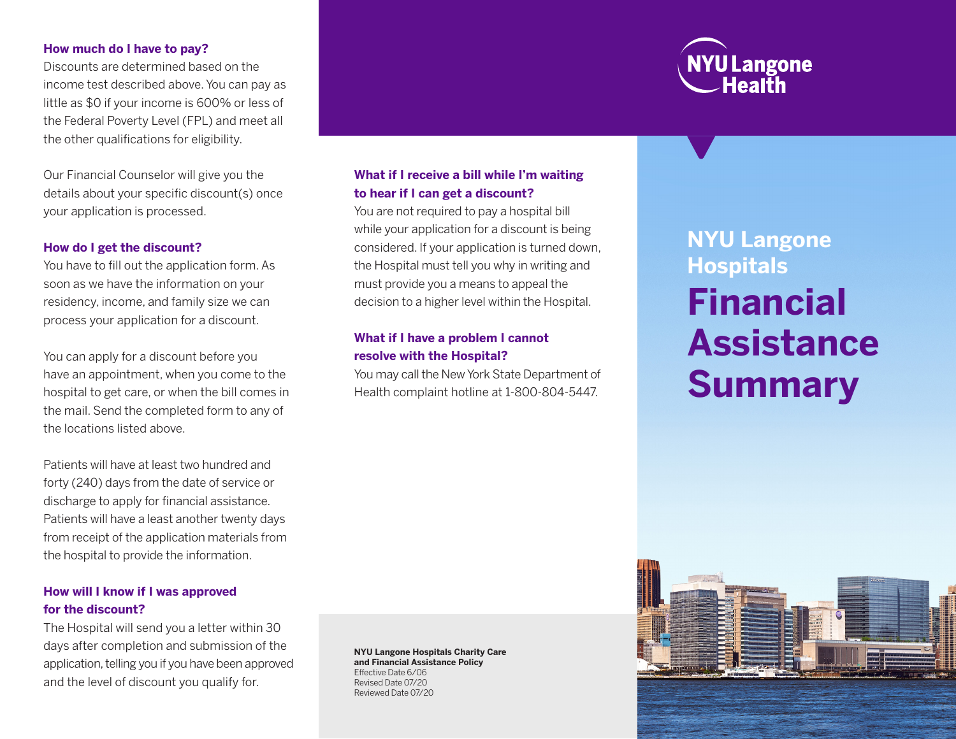### **How much do I have to pay?**

Discounts are determined based on the income test described above. You can pay as little as \$0 if your income is 600% or less of the Federal Poverty Level (FPL) and meet all the other qualifications for eligibility.

Our Financial Counselor will give you the details about your specific discount(s) once your application is processed.

## **How do I get the discount?**

You have to fill out the application form. As soon as we have the information on your residency, income, and family size we can process your application for a discount.

You can apply for a discount before you have an appointment, when you come to the hospital to get care, or when the bill comes in the mail. Send the completed form to any of the locations listed above.

Patients will have at least two hundred and forty (240) days from the date of service or discharge to apply for financial assistance. Patients will have a least another twenty days from receipt of the application materials from the hospital to provide the information.

# **How will I know if I was approved for the discount?**

The Hospital will send you a letter within 30 days after completion and submission of the application, telling you if you have been approved and the level of discount you qualify for.

# **What if I receive a bill while I'm waiting to hear if I can get a discount?**

You are not required to pay a hospital bill while your application for a discount is being considered. If your application is turned down, the Hospital must tell you why in writing and must provide you a means to appeal the decision to a higher level within the Hospital.

# **What if I have a problem I cannot resolve with the Hospital?**

You may call the New York State Department of Health complaint hotline at 1-800-804-5447.

**NYU Langone Hospitals Financial Assistance Summary**

**NYU Langone Hospitals Charity Care and Financial Assistance Policy** Effective Date 6/06 Revised Date 07/20 Reviewed Date 07/20